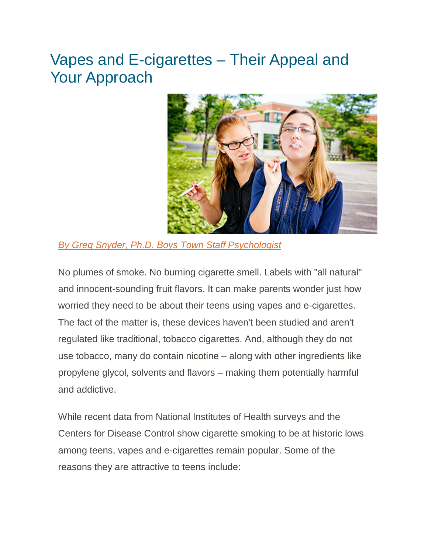## Vapes and E-cigarettes – Their Appeal and Your Approach



*[By Greg Snyder, Ph.D. Boys Town Staff Psychologist](https://www.boystown.org/parenting/our-experts/Pages/Greg-Snyder.aspx)*

No plumes of smoke. No burning cigarette smell. Labels with "all natural" and innocent-sounding fruit flavors. It can make parents wonder just how worried they need to be about their teens using vapes and e-cigarettes. The fact of the matter is, these devices haven't been studied and aren't regulated like traditional, tobacco cigarettes. And, although they do not use tobacco, many do contain nicotine – along with other ingredients like propylene glycol, solvents and flavors – making them potentially harmful and addictive.

While recent data from National Institutes of Health surveys and the Centers for Disease Control show cigarette smoking to be at historic lows among teens, vapes and e-cigarettes remain popular. Some of the reasons they are attractive to teens include: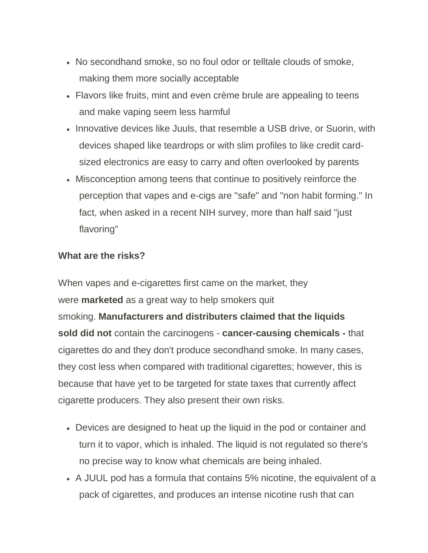- No secondhand smoke, so no foul odor or telltale clouds of smoke, making them more socially acceptable
- Flavors like fruits, mint and even crème brule are appealing to teens and make vaping seem less harmful
- Innovative devices like Juuls, that resemble a USB drive, or Suorin, with devices shaped like teardrops or with slim profiles to like credit cardsized electronics are easy to carry and often overlooked by parents
- Misconception among teens that continue to positively reinforce the perception that vapes and e-cigs are "safe" and "non habit forming." In fact, when asked in a recent NIH survey, more than half said "just flavoring"

## **What are the risks?**

When vapes and e-cigarettes first came on the market, they were **marketed** as a great way to help smokers quit smoking. **Manufacturers and distributers claimed that the liquids sold did not** contain the carcinogens - **cancer-causing chemicals -** that cigarettes do and they don't produce secondhand smoke. In many cases, they cost less when compared with traditional cigarettes; however, this is because that have yet to be targeted for state taxes that currently affect cigarette producers. They also present their own risks.

- Devices are designed to heat up the liquid in the pod or container and turn it to vapor, which is inhaled. The liquid is not regulated so there's no precise way to know what chemicals are being inhaled.
- A JUUL pod has a formula that contains 5% nicotine, the equivalent of a pack of cigarettes, and produces an intense nicotine rush that can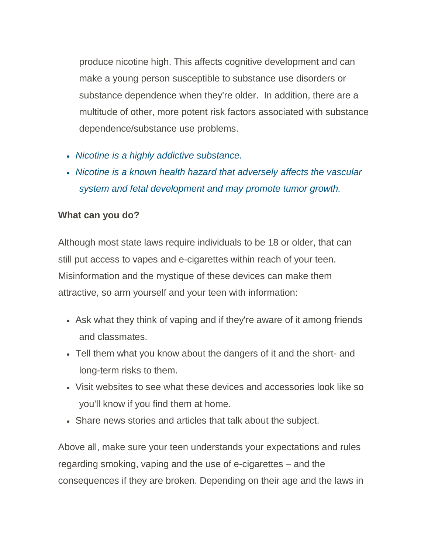produce nicotine high. This affects cognitive development and can make a young person susceptible to substance use disorders or substance dependence when they're older. In addition, there are a multitude of other, more potent risk factors associated with substance dependence/substance use problems.

- *Nicotine is a highly addictive substance.*
- *Nicotine is a known health hazard that adversely affects the vascular system and fetal development and may promote tumor growth.*

## **What can you do?**

Although most state laws require individuals to be 18 or older, that can still put access to vapes and e-cigarettes within reach of your teen. Misinformation and the mystique of these devices can make them attractive, so arm yourself and your teen with information:

- Ask what they think of vaping and if they're aware of it among friends and classmates.
- Tell them what you know about the dangers of it and the short- and long-term risks to them.
- Visit websites to see what these devices and accessories look like so you'll know if you find them at home.
- Share news stories and articles that talk about the subject.

Above all, make sure your teen understands your expectations and rules regarding smoking, vaping and the use of e-cigarettes – and the consequences if they are broken. Depending on their age and the laws in